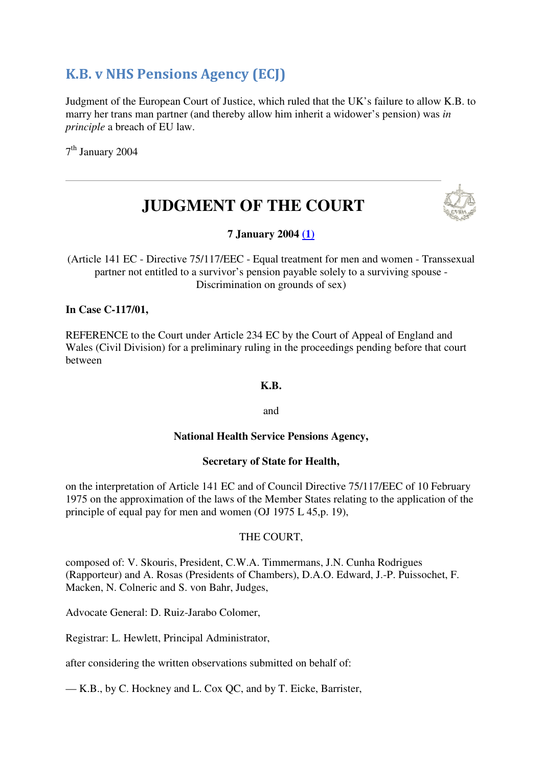# K.B. v NHS Pensions Agency (ECJ)

Judgment of the European Court of Justice, which ruled that the UK's failure to allow K.B. to marry her trans man partner (and thereby allow him inherit a widower's pension) was *in principle* a breach of EU law.

7 th January 2004

# **JUDGMENT OF THE COURT**



# **7 January 2004 (1)**

(Article 141 EC - Directive 75/117/EEC - Equal treatment for men and women - Transsexual partner not entitled to a survivor's pension payable solely to a surviving spouse - Discrimination on grounds of sex)

# **In Case C-117/01,**

REFERENCE to the Court under Article 234 EC by the Court of Appeal of England and Wales (Civil Division) for a preliminary ruling in the proceedings pending before that court between

# **K.B.**

and

# **National Health Service Pensions Agency,**

# **Secretary of State for Health,**

on the interpretation of Article 141 EC and of Council Directive 75/117/EEC of 10 February 1975 on the approximation of the laws of the Member States relating to the application of the principle of equal pay for men and women (OJ 1975 L 45,p. 19),

# THE COURT,

composed of: V. Skouris, President, C.W.A. Timmermans, J.N. Cunha Rodrigues (Rapporteur) and A. Rosas (Presidents of Chambers), D.A.O. Edward, J.-P. Puissochet, F. Macken, N. Colneric and S. von Bahr, Judges,

Advocate General: D. Ruiz-Jarabo Colomer,

Registrar: L. Hewlett, Principal Administrator,

after considering the written observations submitted on behalf of:

— K.B., by C. Hockney and L. Cox QC, and by T. Eicke, Barrister,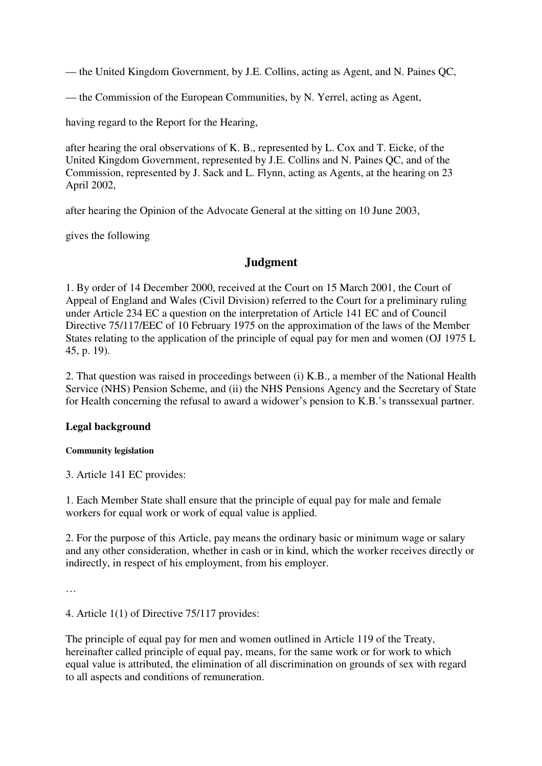— the United Kingdom Government, by J.E. Collins, acting as Agent, and N. Paines QC,

— the Commission of the European Communities, by N. Yerrel, acting as Agent,

having regard to the Report for the Hearing,

after hearing the oral observations of K. B., represented by L. Cox and T. Eicke, of the United Kingdom Government, represented by J.E. Collins and N. Paines QC, and of the Commission, represented by J. Sack and L. Flynn, acting as Agents, at the hearing on 23 April 2002,

after hearing the Opinion of the Advocate General at the sitting on 10 June 2003,

gives the following

# **Judgment**

1. By order of 14 December 2000, received at the Court on 15 March 2001, the Court of Appeal of England and Wales (Civil Division) referred to the Court for a preliminary ruling under Article 234 EC a question on the interpretation of Article 141 EC and of Council Directive 75/117/EEC of 10 February 1975 on the approximation of the laws of the Member States relating to the application of the principle of equal pay for men and women (OJ 1975 L 45, p. 19).

2. That question was raised in proceedings between (i) K.B., a member of the National Health Service (NHS) Pension Scheme, and (ii) the NHS Pensions Agency and the Secretary of State for Health concerning the refusal to award a widower's pension to K.B.'s transsexual partner.

# **Legal background**

# **Community legislation**

3. Article 141 EC provides:

1. Each Member State shall ensure that the principle of equal pay for male and female workers for equal work or work of equal value is applied.

2. For the purpose of this Article, pay means the ordinary basic or minimum wage or salary and any other consideration, whether in cash or in kind, which the worker receives directly or indirectly, in respect of his employment, from his employer.

…

4. Article 1(1) of Directive 75/117 provides:

The principle of equal pay for men and women outlined in Article 119 of the Treaty, hereinafter called principle of equal pay, means, for the same work or for work to which equal value is attributed, the elimination of all discrimination on grounds of sex with regard to all aspects and conditions of remuneration.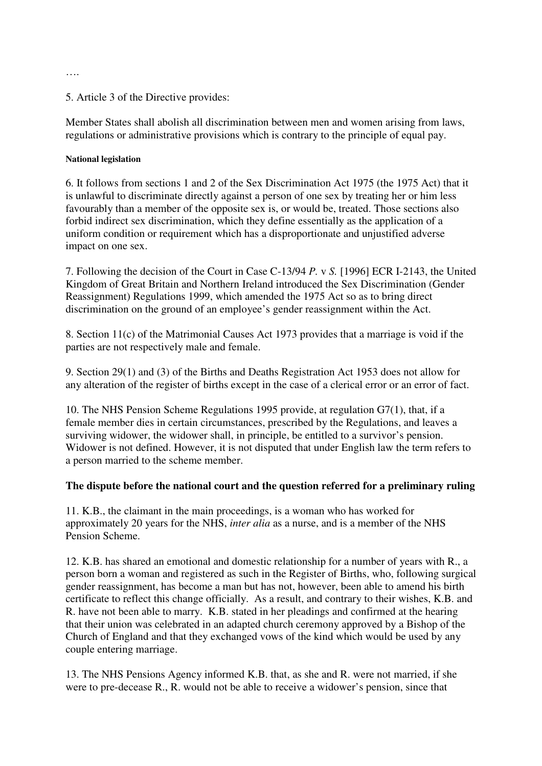5. Article 3 of the Directive provides:

Member States shall abolish all discrimination between men and women arising from laws, regulations or administrative provisions which is contrary to the principle of equal pay.

# **National legislation**

6. It follows from sections 1 and 2 of the Sex Discrimination Act 1975 (the 1975 Act) that it is unlawful to discriminate directly against a person of one sex by treating her or him less favourably than a member of the opposite sex is, or would be, treated. Those sections also forbid indirect sex discrimination, which they define essentially as the application of a uniform condition or requirement which has a disproportionate and unjustified adverse impact on one sex.

7. Following the decision of the Court in Case C-13/94 *P.* v *S.* [1996] ECR I-2143, the United Kingdom of Great Britain and Northern Ireland introduced the Sex Discrimination (Gender Reassignment) Regulations 1999, which amended the 1975 Act so as to bring direct discrimination on the ground of an employee's gender reassignment within the Act.

8. Section 11(c) of the Matrimonial Causes Act 1973 provides that a marriage is void if the parties are not respectively male and female.

9. Section 29(1) and (3) of the Births and Deaths Registration Act 1953 does not allow for any alteration of the register of births except in the case of a clerical error or an error of fact.

10. The NHS Pension Scheme Regulations 1995 provide, at regulation G7(1), that, if a female member dies in certain circumstances, prescribed by the Regulations, and leaves a surviving widower, the widower shall, in principle, be entitled to a survivor's pension. Widower is not defined. However, it is not disputed that under English law the term refers to a person married to the scheme member.

# **The dispute before the national court and the question referred for a preliminary ruling**

11. K.B., the claimant in the main proceedings, is a woman who has worked for approximately 20 years for the NHS, *inter alia* as a nurse, and is a member of the NHS Pension Scheme.

12. K.B. has shared an emotional and domestic relationship for a number of years with R., a person born a woman and registered as such in the Register of Births, who, following surgical gender reassignment, has become a man but has not, however, been able to amend his birth certificate to reflect this change officially. As a result, and contrary to their wishes, K.B. and R. have not been able to marry. K.B. stated in her pleadings and confirmed at the hearing that their union was celebrated in an adapted church ceremony approved by a Bishop of the Church of England and that they exchanged vows of the kind which would be used by any couple entering marriage.

13. The NHS Pensions Agency informed K.B. that, as she and R. were not married, if she were to pre-decease R., R. would not be able to receive a widower's pension, since that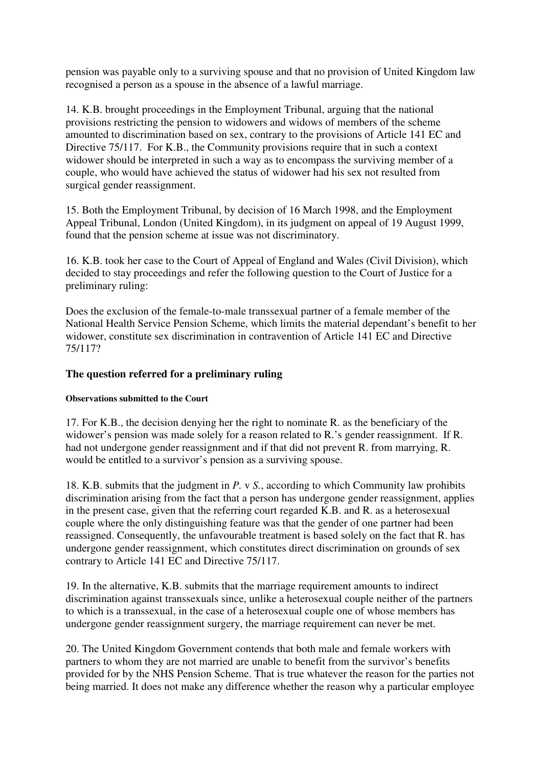pension was payable only to a surviving spouse and that no provision of United Kingdom law recognised a person as a spouse in the absence of a lawful marriage.

14. K.B. brought proceedings in the Employment Tribunal, arguing that the national provisions restricting the pension to widowers and widows of members of the scheme amounted to discrimination based on sex, contrary to the provisions of Article 141 EC and Directive 75/117. For K.B., the Community provisions require that in such a context widower should be interpreted in such a way as to encompass the surviving member of a couple, who would have achieved the status of widower had his sex not resulted from surgical gender reassignment.

15. Both the Employment Tribunal, by decision of 16 March 1998, and the Employment Appeal Tribunal, London (United Kingdom), in its judgment on appeal of 19 August 1999, found that the pension scheme at issue was not discriminatory.

16. K.B. took her case to the Court of Appeal of England and Wales (Civil Division), which decided to stay proceedings and refer the following question to the Court of Justice for a preliminary ruling:

Does the exclusion of the female-to-male transsexual partner of a female member of the National Health Service Pension Scheme, which limits the material dependant's benefit to her widower, constitute sex discrimination in contravention of Article 141 EC and Directive 75/117?

# **The question referred for a preliminary ruling**

# **Observations submitted to the Court**

17. For K.B., the decision denying her the right to nominate R. as the beneficiary of the widower's pension was made solely for a reason related to R.'s gender reassignment. If R. had not undergone gender reassignment and if that did not prevent R. from marrying, R. would be entitled to a survivor's pension as a surviving spouse.

18. K.B. submits that the judgment in *P.* v *S.*, according to which Community law prohibits discrimination arising from the fact that a person has undergone gender reassignment, applies in the present case, given that the referring court regarded K.B. and R. as a heterosexual couple where the only distinguishing feature was that the gender of one partner had been reassigned. Consequently, the unfavourable treatment is based solely on the fact that R. has undergone gender reassignment, which constitutes direct discrimination on grounds of sex contrary to Article 141 EC and Directive 75/117.

19. In the alternative, K.B. submits that the marriage requirement amounts to indirect discrimination against transsexuals since, unlike a heterosexual couple neither of the partners to which is a transsexual, in the case of a heterosexual couple one of whose members has undergone gender reassignment surgery, the marriage requirement can never be met.

20. The United Kingdom Government contends that both male and female workers with partners to whom they are not married are unable to benefit from the survivor's benefits provided for by the NHS Pension Scheme. That is true whatever the reason for the parties not being married. It does not make any difference whether the reason why a particular employee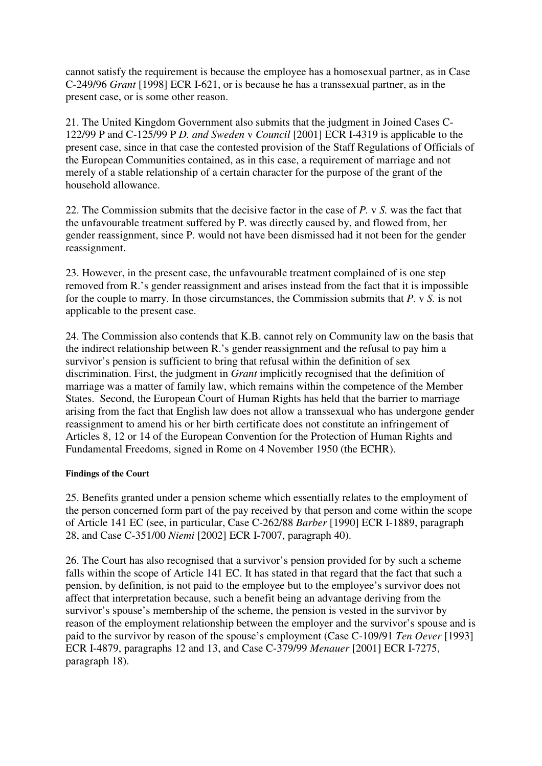cannot satisfy the requirement is because the employee has a homosexual partner, as in Case C-249/96 *Grant* [1998] ECR I-621, or is because he has a transsexual partner, as in the present case, or is some other reason.

21. The United Kingdom Government also submits that the judgment in Joined Cases C-122/99 P and C-125/99 P *D. and Sweden* v *Council* [2001] ECR I-4319 is applicable to the present case, since in that case the contested provision of the Staff Regulations of Officials of the European Communities contained, as in this case, a requirement of marriage and not merely of a stable relationship of a certain character for the purpose of the grant of the household allowance.

22. The Commission submits that the decisive factor in the case of *P.* v *S.* was the fact that the unfavourable treatment suffered by P. was directly caused by, and flowed from, her gender reassignment, since P. would not have been dismissed had it not been for the gender reassignment.

23. However, in the present case, the unfavourable treatment complained of is one step removed from R.'s gender reassignment and arises instead from the fact that it is impossible for the couple to marry. In those circumstances, the Commission submits that *P.* v *S.* is not applicable to the present case.

24. The Commission also contends that K.B. cannot rely on Community law on the basis that the indirect relationship between R.'s gender reassignment and the refusal to pay him a survivor's pension is sufficient to bring that refusal within the definition of sex discrimination. First, the judgment in *Grant* implicitly recognised that the definition of marriage was a matter of family law, which remains within the competence of the Member States. Second, the European Court of Human Rights has held that the barrier to marriage arising from the fact that English law does not allow a transsexual who has undergone gender reassignment to amend his or her birth certificate does not constitute an infringement of Articles 8, 12 or 14 of the European Convention for the Protection of Human Rights and Fundamental Freedoms, signed in Rome on 4 November 1950 (the ECHR).

# **Findings of the Court**

25. Benefits granted under a pension scheme which essentially relates to the employment of the person concerned form part of the pay received by that person and come within the scope of Article 141 EC (see, in particular, Case C-262/88 *Barber* [1990] ECR I-1889, paragraph 28, and Case C-351/00 *Niemi* [2002] ECR I-7007, paragraph 40).

26. The Court has also recognised that a survivor's pension provided for by such a scheme falls within the scope of Article 141 EC. It has stated in that regard that the fact that such a pension, by definition, is not paid to the employee but to the employee's survivor does not affect that interpretation because, such a benefit being an advantage deriving from the survivor's spouse's membership of the scheme, the pension is vested in the survivor by reason of the employment relationship between the employer and the survivor's spouse and is paid to the survivor by reason of the spouse's employment (Case C-109/91 *Ten Oever* [1993] ECR I-4879, paragraphs 12 and 13, and Case C-379/99 *Menauer* [2001] ECR I-7275, paragraph 18).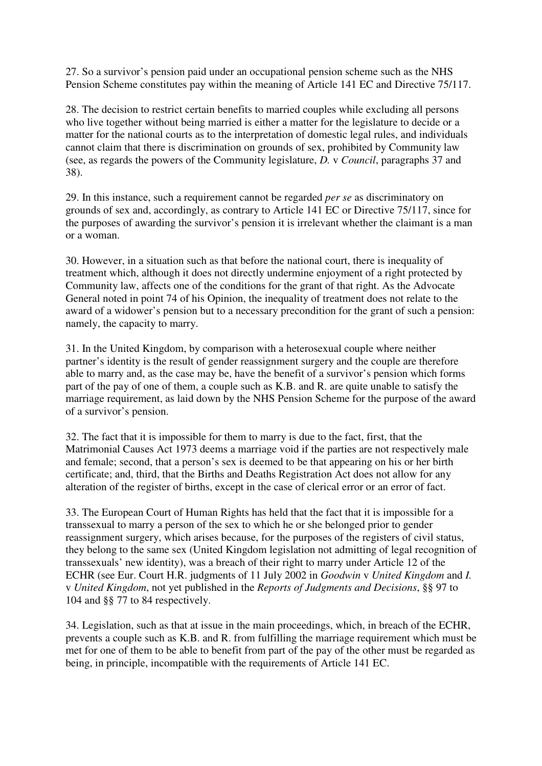27. So a survivor's pension paid under an occupational pension scheme such as the NHS Pension Scheme constitutes pay within the meaning of Article 141 EC and Directive 75/117.

28. The decision to restrict certain benefits to married couples while excluding all persons who live together without being married is either a matter for the legislature to decide or a matter for the national courts as to the interpretation of domestic legal rules, and individuals cannot claim that there is discrimination on grounds of sex, prohibited by Community law (see, as regards the powers of the Community legislature, *D.* v *Council*, paragraphs 37 and 38).

29. In this instance, such a requirement cannot be regarded *per se* as discriminatory on grounds of sex and, accordingly, as contrary to Article 141 EC or Directive 75/117, since for the purposes of awarding the survivor's pension it is irrelevant whether the claimant is a man or a woman.

30. However, in a situation such as that before the national court, there is inequality of treatment which, although it does not directly undermine enjoyment of a right protected by Community law, affects one of the conditions for the grant of that right. As the Advocate General noted in point 74 of his Opinion, the inequality of treatment does not relate to the award of a widower's pension but to a necessary precondition for the grant of such a pension: namely, the capacity to marry.

31. In the United Kingdom, by comparison with a heterosexual couple where neither partner's identity is the result of gender reassignment surgery and the couple are therefore able to marry and, as the case may be, have the benefit of a survivor's pension which forms part of the pay of one of them, a couple such as K.B. and R. are quite unable to satisfy the marriage requirement, as laid down by the NHS Pension Scheme for the purpose of the award of a survivor's pension.

32. The fact that it is impossible for them to marry is due to the fact, first, that the Matrimonial Causes Act 1973 deems a marriage void if the parties are not respectively male and female; second, that a person's sex is deemed to be that appearing on his or her birth certificate; and, third, that the Births and Deaths Registration Act does not allow for any alteration of the register of births, except in the case of clerical error or an error of fact.

33. The European Court of Human Rights has held that the fact that it is impossible for a transsexual to marry a person of the sex to which he or she belonged prior to gender reassignment surgery, which arises because, for the purposes of the registers of civil status, they belong to the same sex (United Kingdom legislation not admitting of legal recognition of transsexuals' new identity), was a breach of their right to marry under Article 12 of the ECHR (see Eur. Court H.R. judgments of 11 July 2002 in *Goodwin* v *United Kingdom* and *I.* v *United Kingdom*, not yet published in the *Reports of Judgments and Decisions*, §§ 97 to 104 and §§ 77 to 84 respectively.

34. Legislation, such as that at issue in the main proceedings, which, in breach of the ECHR, prevents a couple such as K.B. and R. from fulfilling the marriage requirement which must be met for one of them to be able to benefit from part of the pay of the other must be regarded as being, in principle, incompatible with the requirements of Article 141 EC.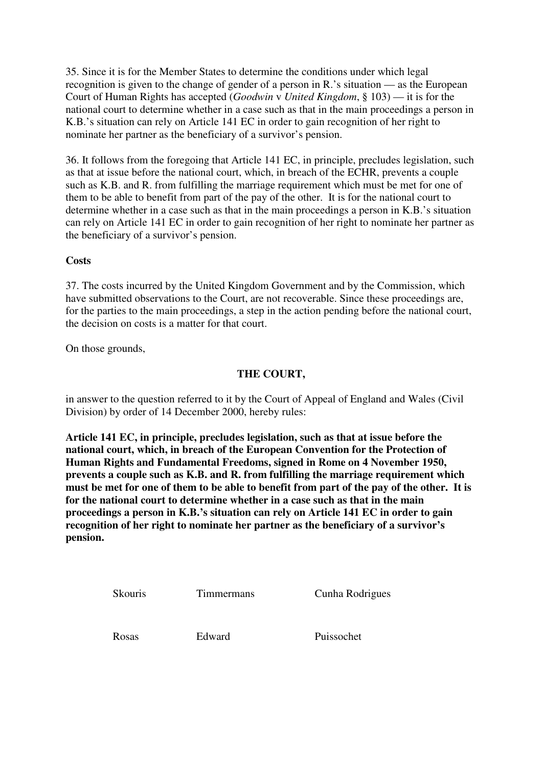35. Since it is for the Member States to determine the conditions under which legal recognition is given to the change of gender of a person in R.'s situation — as the European Court of Human Rights has accepted (*Goodwin* v *United Kingdom*, § 103) — it is for the national court to determine whether in a case such as that in the main proceedings a person in K.B.'s situation can rely on Article 141 EC in order to gain recognition of her right to nominate her partner as the beneficiary of a survivor's pension.

36. It follows from the foregoing that Article 141 EC, in principle, precludes legislation, such as that at issue before the national court, which, in breach of the ECHR, prevents a couple such as K.B. and R. from fulfilling the marriage requirement which must be met for one of them to be able to benefit from part of the pay of the other. It is for the national court to determine whether in a case such as that in the main proceedings a person in K.B.'s situation can rely on Article 141 EC in order to gain recognition of her right to nominate her partner as the beneficiary of a survivor's pension.

# **Costs**

37. The costs incurred by the United Kingdom Government and by the Commission, which have submitted observations to the Court, are not recoverable. Since these proceedings are, for the parties to the main proceedings, a step in the action pending before the national court, the decision on costs is a matter for that court.

On those grounds,

# **THE COURT,**

in answer to the question referred to it by the Court of Appeal of England and Wales (Civil Division) by order of 14 December 2000, hereby rules:

**Article 141 EC, in principle, precludes legislation, such as that at issue before the national court, which, in breach of the European Convention for the Protection of Human Rights and Fundamental Freedoms, signed in Rome on 4 November 1950, prevents a couple such as K.B. and R. from fulfilling the marriage requirement which must be met for one of them to be able to benefit from part of the pay of the other. It is for the national court to determine whether in a case such as that in the main proceedings a person in K.B.'s situation can rely on Article 141 EC in order to gain recognition of her right to nominate her partner as the beneficiary of a survivor's pension.**

| Skouris | <b>Timmermans</b> | Cunha Rodrigues |
|---------|-------------------|-----------------|
| Rosas   | Edward            | Puissochet      |